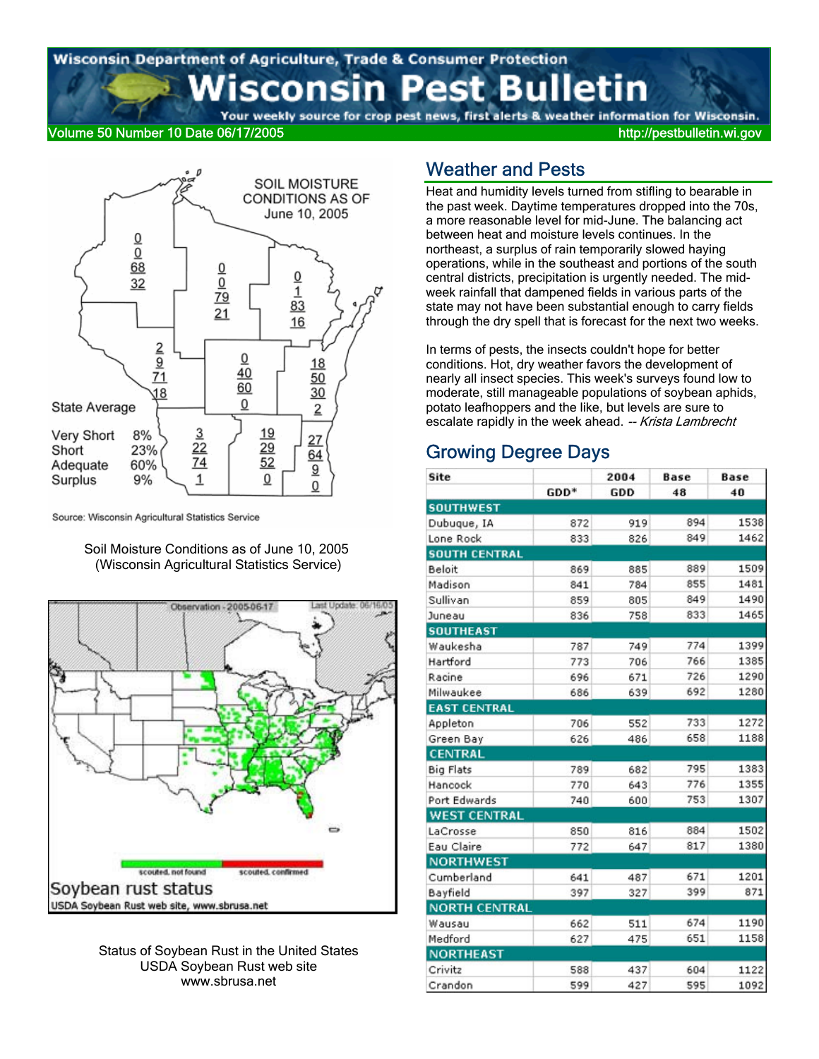# Wisconsin Department of Agriculture, Trade & Consumer Protection sconsin Pest Bulletin

Your weekly source for crop pest news, first alerts & weather information for Wisconsin.

### Volume 50 Number 10 Date 06/17/2005 http://pestbulletin.wi.gov



Source: Wisconsin Agricultural Statistics Service

Soil Moisture Conditions as of June 10, 2005 (Wisconsin Agricultural Statistics Service)



Status of Soybean Rust in the United States USDA Soybean Rust web site www.sbrusa.net

### Weather and Pests

Heat and humidity levels turned from stifling to bearable in the past week. Daytime temperatures dropped into the 70s, a more reasonable level for mid-June. The balancing act between heat and moisture levels continues. In the northeast, a surplus of rain temporarily slowed haying operations, while in the southeast and portions of the south central districts, precipitation is urgently needed. The midweek rainfall that dampened fields in various parts of the state may not have been substantial enough to carry fields through the dry spell that is forecast for the next two weeks.

In terms of pests, the insects couldn't hope for better conditions. Hot, dry weather favors the development of nearly all insect species. This week's surveys found low to moderate, still manageable populations of soybean aphids, potato leafhoppers and the like, but levels are sure to escalate rapidly in the week ahead. -- Krista Lambrecht

## Growing Degree Days

| Site                 |      | 2004 | <b>Base</b> | <b>Base</b> |
|----------------------|------|------|-------------|-------------|
|                      | GDD* | GDD  | 48          | 40          |
| <b>SOUTHWEST</b>     |      |      |             |             |
| Dubuque, IA          | 872  | 919  | 894         | 1538        |
| Lone Rock            | 833  | 826  | 849         | 1462        |
| <b>SOUTH CENTRAL</b> |      |      |             |             |
| Beloit               | 869  | 885  | 889         | 1509        |
| Madison              | 841  | 784  | 855         | 1481        |
| Sullivan             | 859  | 805  | 849         | 1490        |
| Juneau               | 836  | 758  | 833         | 1465        |
| <b>SOUTHEAST</b>     |      |      |             |             |
| Waukesha             | 787  | 749  | 774         | 1399        |
| Hartford             | 773  | 706  | 766         | 1385        |
| Racine               | 696  | 671  | 726         | 1290        |
| Milwaukee            | 686  | 639  | 692         | 1280        |
| <b>EAST CENTRAL</b>  |      |      |             |             |
| Appleton             | 706  | 552  | 733         | 1272        |
| Green Bay            | 626  | 486  | 658         | 1188        |
| <b>CENTRAL</b>       |      |      |             |             |
| <b>Big Flats</b>     | 789  | 682  | 795         | 1383        |
| Hancock              | 770  | 643  | 776         | 1355        |
| Port Edwards         | 740  | 600  | 753         | 1307        |
| <b>WEST CENTRAL</b>  |      |      |             |             |
| LaCrosse             | 850  | 816  | 884         | 1502        |
| Eau Claire           | 772  | 647  | 817         | 1380        |
| <b>NORTHWEST</b>     |      |      |             |             |
| Cumberland           | 641  | 487  | 671         | 1201        |
| Bayfield             | 397  | 327  | 399         | 871         |
| <b>NORTH CENTRAL</b> |      |      |             |             |
| Wausau               | 662  | 511  | 674         | 1190        |
| Medford              | 627  | 475  | 651         | 1158        |
| <b>NORTHEAST</b>     |      |      |             |             |
| Crivitz              | 588  | 437  | 604         | 1122        |
| Crandon              | 599  | 427  | 595         | 1092        |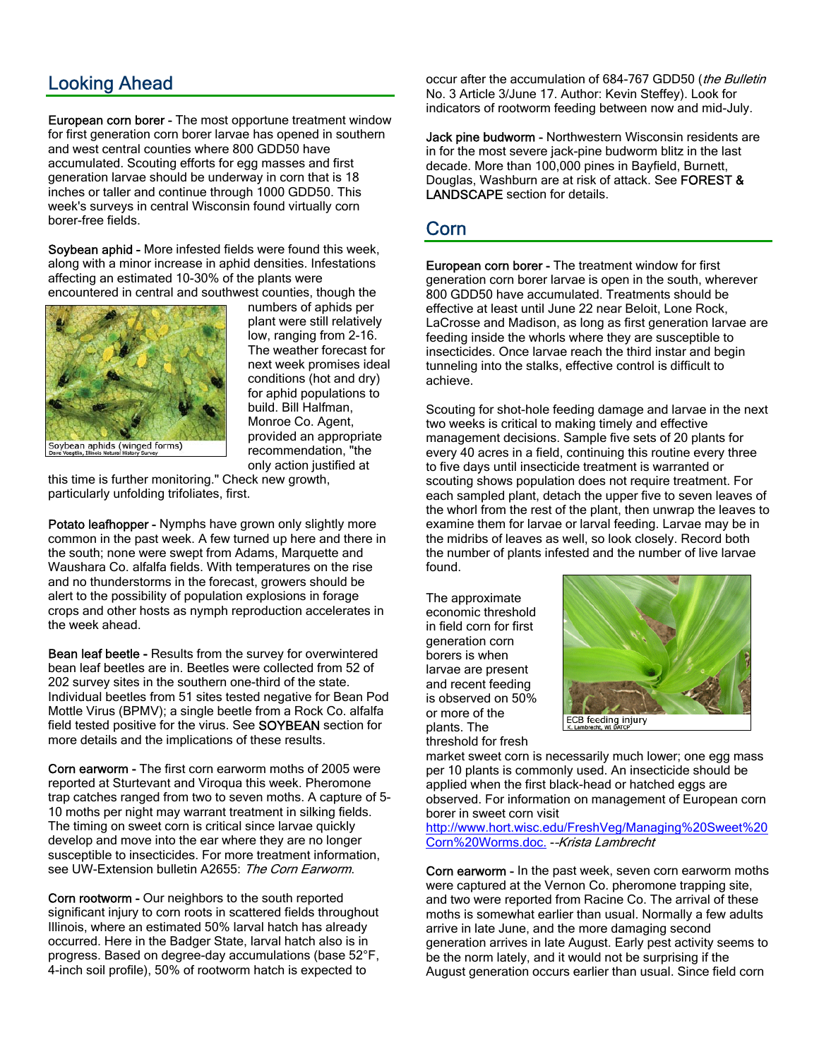## Looking Ahead

European corn borer - The most opportune treatment window for first generation corn borer larvae has opened in southern and west central counties where 800 GDD50 have accumulated. Scouting efforts for egg masses and first generation larvae should be underway in corn that is 18 inches or taller and continue through 1000 GDD50. This week's surveys in central Wisconsin found virtually corn borer-free fields.

Soybean aphid - More infested fields were found this week, along with a minor increase in aphid densities. Infestations affecting an estimated 10-30% of the plants were encountered in central and southwest counties, though the



numbers of aphids per plant were still relatively low, ranging from 2-16. The weather forecast for next week promises ideal conditions (hot and dry) for aphid populations to build. Bill Halfman, Monroe Co. Agent, provided an appropriate recommendation, "the only action justified at

this time is further monitoring." Check new growth, particularly unfolding trifoliates, first.

Potato leafhopper - Nymphs have grown only slightly more common in the past week. A few turned up here and there in the south; none were swept from Adams, Marquette and Waushara Co. alfalfa fields. With temperatures on the rise and no thunderstorms in the forecast, growers should be alert to the possibility of population explosions in forage crops and other hosts as nymph reproduction accelerates in the week ahead.

Bean leaf beetle - Results from the survey for overwintered bean leaf beetles are in. Beetles were collected from 52 of 202 survey sites in the southern one-third of the state. Individual beetles from 51 sites tested negative for Bean Pod Mottle Virus (BPMV); a single beetle from a Rock Co. alfalfa field tested positive for the virus. See SOYBEAN section for more details and the implications of these results.

Corn earworm - The first corn earworm moths of 2005 were reported at Sturtevant and Viroqua this week. Pheromone trap catches ranged from two to seven moths. A capture of 5- 10 moths per night may warrant treatment in silking fields. The timing on sweet corn is critical since larvae quickly develop and move into the ear where they are no longer susceptible to insecticides. For more treatment information, see UW-Extension bulletin A2655: The Corn Earworm.

Corn rootworm - Our neighbors to the south reported significant injury to corn roots in scattered fields throughout Illinois, where an estimated 50% larval hatch has already occurred. Here in the Badger State, larval hatch also is in progress. Based on degree-day accumulations (base 52°F, 4-inch soil profile), 50% of rootworm hatch is expected to

occur after the accumulation of 684-767 GDD50 (the Bulletin No. 3 Article 3/June 17. Author: Kevin Steffey). Look for indicators of rootworm feeding between now and mid-July.

Jack pine budworm - Northwestern Wisconsin residents are in for the most severe jack-pine budworm blitz in the last decade. More than 100,000 pines in Bayfield, Burnett, Douglas, Washburn are at risk of attack. See FOREST & LANDSCAPE section for details.

### Corn

European corn borer - The treatment window for first generation corn borer larvae is open in the south, wherever 800 GDD50 have accumulated. Treatments should be effective at least until June 22 near Beloit, Lone Rock, LaCrosse and Madison, as long as first generation larvae are feeding inside the whorls where they are susceptible to insecticides. Once larvae reach the third instar and begin tunneling into the stalks, effective control is difficult to achieve.

Scouting for shot-hole feeding damage and larvae in the next two weeks is critical to making timely and effective management decisions. Sample five sets of 20 plants for every 40 acres in a field, continuing this routine every three to five days until insecticide treatment is warranted or scouting shows population does not require treatment. For each sampled plant, detach the upper five to seven leaves of the whorl from the rest of the plant, then unwrap the leaves to examine them for larvae or larval feeding. Larvae may be in the midribs of leaves as well, so look closely. Record both the number of plants infested and the number of live larvae found.

The approximate economic threshold in field corn for first generation corn borers is when larvae are present and recent feeding is observed on 50% or more of the plants. The threshold for fresh



market sweet corn is necessarily much lower; one egg mass per 10 plants is commonly used. An insecticide should be applied when the first black-head or hatched eggs are observed. For information on management of European corn borer in sweet corn visit

http://www.hort.wisc.edu/FreshVeg/Managing%20Sweet%20 Corn%20Worms.doc. -–Krista Lambrecht

Corn earworm - In the past week, seven corn earworm moths were captured at the Vernon Co. pheromone trapping site, and two were reported from Racine Co. The arrival of these moths is somewhat earlier than usual. Normally a few adults arrive in late June, and the more damaging second generation arrives in late August. Early pest activity seems to be the norm lately, and it would not be surprising if the August generation occurs earlier than usual. Since field corn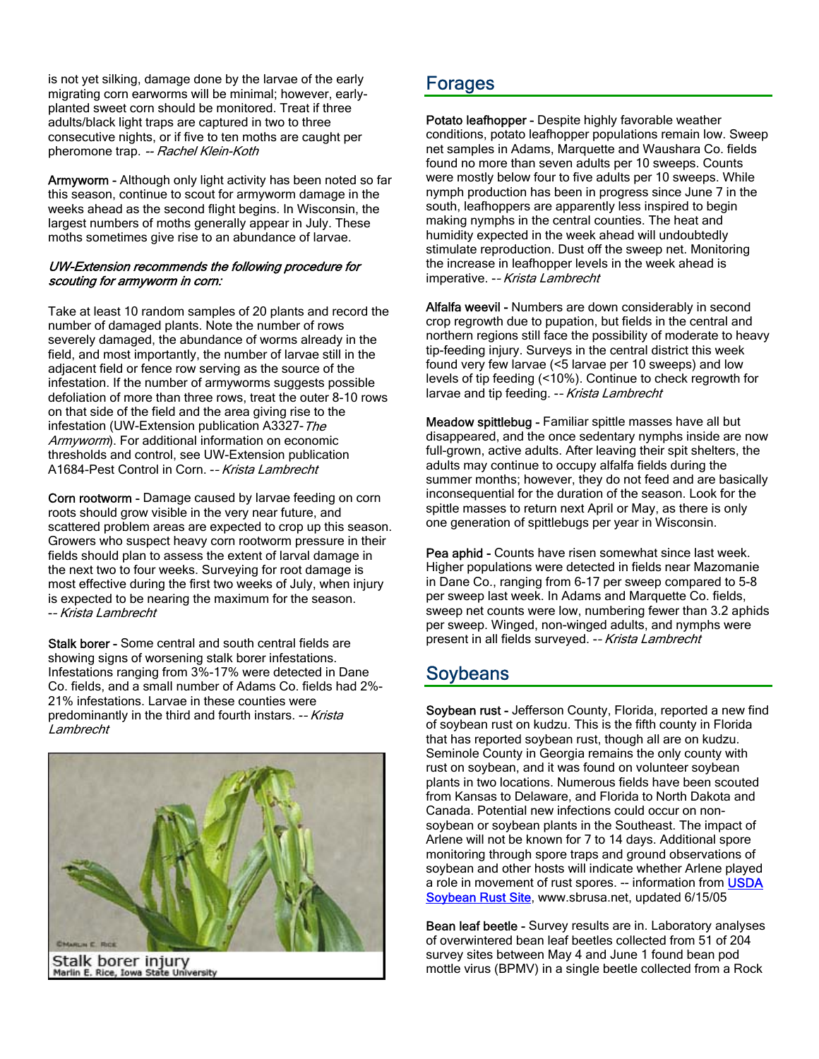is not yet silking, damage done by the larvae of the early migrating corn earworms will be minimal; however, earlyplanted sweet corn should be monitored. Treat if three adults/black light traps are captured in two to three consecutive nights, or if five to ten moths are caught per pheromone trap. -- Rachel Klein-Koth

Armyworm - Although only light activity has been noted so far this season, continue to scout for armyworm damage in the weeks ahead as the second flight begins. In Wisconsin, the largest numbers of moths generally appear in July. These moths sometimes give rise to an abundance of larvae.

#### UW-Extension recommends the following procedure for scouting for armyworm in corn:

Take at least 10 random samples of 20 plants and record the number of damaged plants. Note the number of rows severely damaged, the abundance of worms already in the field, and most importantly, the number of larvae still in the adjacent field or fence row serving as the source of the infestation. If the number of armyworms suggests possible defoliation of more than three rows, treat the outer 8-10 rows on that side of the field and the area giving rise to the infestation (UW-Extension publication A3327-The Armyworm). For additional information on economic thresholds and control, see UW-Extension publication A1684-Pest Control in Corn. -– Krista Lambrecht

Corn rootworm - Damage caused by larvae feeding on corn roots should grow visible in the very near future, and scattered problem areas are expected to crop up this season. Growers who suspect heavy corn rootworm pressure in their fields should plan to assess the extent of larval damage in the next two to four weeks. Surveying for root damage is most effective during the first two weeks of July, when injury is expected to be nearing the maximum for the season. -– Krista Lambrecht

Stalk borer - Some central and south central fields are showing signs of worsening stalk borer infestations. Infestations ranging from 3%-17% were detected in Dane Co. fields, and a small number of Adams Co. fields had 2%- 21% infestations. Larvae in these counties were predominantly in the third and fourth instars. -- Krista **Lambrecht** 



Stalk borer injury<br>Marlin E. Rice, Iowa State University

## Forages

Potato leafhopper - Despite highly favorable weather conditions, potato leafhopper populations remain low. Sweep net samples in Adams, Marquette and Waushara Co. fields found no more than seven adults per 10 sweeps. Counts were mostly below four to five adults per 10 sweeps. While nymph production has been in progress since June 7 in the south, leafhoppers are apparently less inspired to begin making nymphs in the central counties. The heat and humidity expected in the week ahead will undoubtedly stimulate reproduction. Dust off the sweep net. Monitoring the increase in leafhopper levels in the week ahead is imperative. -- Krista Lambrecht

Alfalfa weevil - Numbers are down considerably in second crop regrowth due to pupation, but fields in the central and northern regions still face the possibility of moderate to heavy tip-feeding injury. Surveys in the central district this week found very few larvae (<5 larvae per 10 sweeps) and low levels of tip feeding (<10%). Continue to check regrowth for larvae and tip feeding. -- Krista Lambrecht

Meadow spittlebug - Familiar spittle masses have all but disappeared, and the once sedentary nymphs inside are now full-grown, active adults. After leaving their spit shelters, the adults may continue to occupy alfalfa fields during the summer months; however, they do not feed and are basically inconsequential for the duration of the season. Look for the spittle masses to return next April or May, as there is only one generation of spittlebugs per year in Wisconsin.

Pea aphid - Counts have risen somewhat since last week. Higher populations were detected in fields near Mazomanie in Dane Co., ranging from 6-17 per sweep compared to 5-8 per sweep last week. In Adams and Marquette Co. fields, sweep net counts were low, numbering fewer than 3.2 aphids per sweep. Winged, non-winged adults, and nymphs were present in all fields surveyed. -– Krista Lambrecht

## Soybeans

Soybean rust - Jefferson County, Florida, reported a new find of soybean rust on kudzu. This is the fifth county in Florida that has reported soybean rust, though all are on kudzu. Seminole County in Georgia remains the only county with rust on soybean, and it was found on volunteer soybean plants in two locations. Numerous fields have been scouted from Kansas to Delaware, and Florida to North Dakota and Canada. Potential new infections could occur on nonsoybean or soybean plants in the Southeast. The impact of Arlene will not be known for 7 to 14 days. Additional spore monitoring through spore traps and ground observations of soybean and other hosts will indicate whether Arlene played a role in movement of rust spores. -- information from **USDA** Soybean Rust Site, www.sbrusa.net, updated 6/15/05

Bean leaf beetle - Survey results are in. Laboratory analyses of overwintered bean leaf beetles collected from 51 of 204 survey sites between May 4 and June 1 found bean pod mottle virus (BPMV) in a single beetle collected from a Rock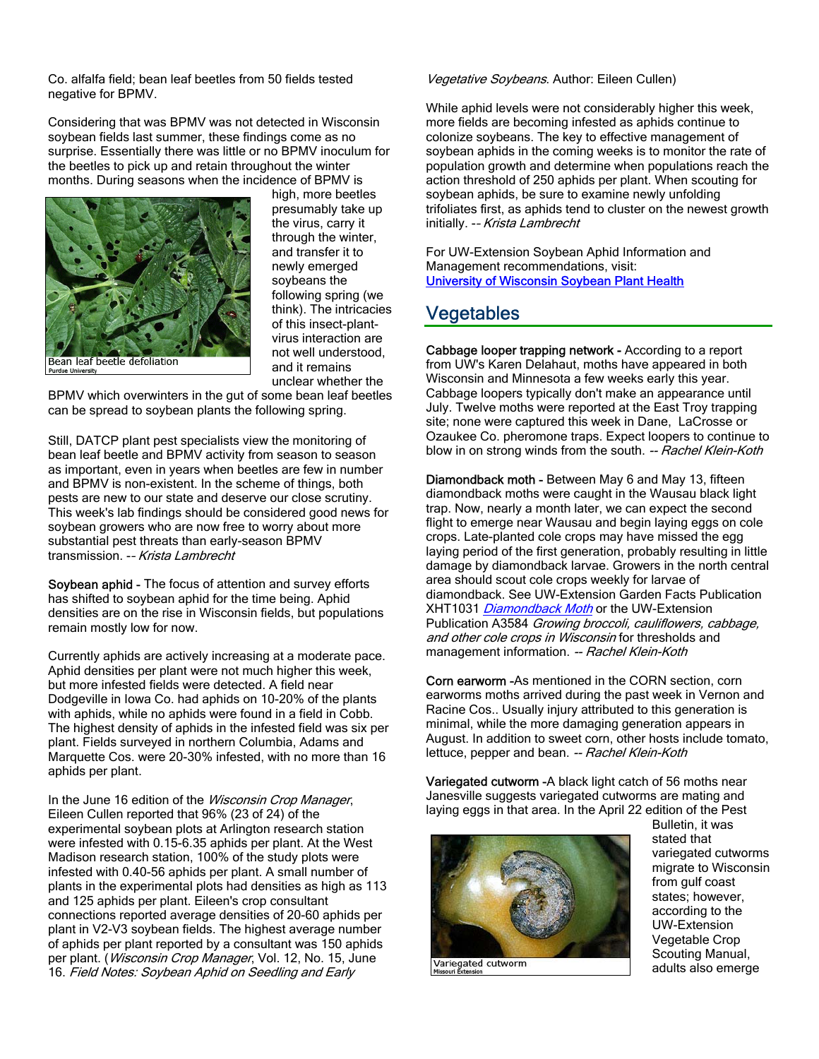Co. alfalfa field; bean leaf beetles from 50 fields tested negative for BPMV.

Considering that was BPMV was not detected in Wisconsin soybean fields last summer, these findings come as no surprise. Essentially there was little or no BPMV inoculum for the beetles to pick up and retain throughout the winter months. During seasons when the incidence of BPMV is



high, more beetles presumably take up the virus, carry it through the winter, and transfer it to newly emerged soybeans the following spring (we think). The intricacies of this insect-plantvirus interaction are not well understood, and it remains unclear whether the

BPMV which overwinters in the gut of some bean leaf beetles can be spread to soybean plants the following spring.

Still, DATCP plant pest specialists view the monitoring of bean leaf beetle and BPMV activity from season to season as important, even in years when beetles are few in number and BPMV is non-existent. In the scheme of things, both pests are new to our state and deserve our close scrutiny. This week's lab findings should be considered good news for soybean growers who are now free to worry about more substantial pest threats than early-season BPMV transmission. -– Krista Lambrecht

Soybean aphid - The focus of attention and survey efforts has shifted to soybean aphid for the time being. Aphid densities are on the rise in Wisconsin fields, but populations remain mostly low for now.

Currently aphids are actively increasing at a moderate pace. Aphid densities per plant were not much higher this week, but more infested fields were detected. A field near Dodgeville in Iowa Co. had aphids on 10-20% of the plants with aphids, while no aphids were found in a field in Cobb. The highest density of aphids in the infested field was six per plant. Fields surveyed in northern Columbia, Adams and Marquette Cos. were 20-30% infested, with no more than 16 aphids per plant.

In the June 16 edition of the Wisconsin Crop Manager, Eileen Cullen reported that 96% (23 of 24) of the experimental soybean plots at Arlington research station were infested with 0.15-6.35 aphids per plant. At the West Madison research station, 100% of the study plots were infested with 0.40-56 aphids per plant. A small number of plants in the experimental plots had densities as high as 113 and 125 aphids per plant. Eileen's crop consultant connections reported average densities of 20-60 aphids per plant in V2-V3 soybean fields. The highest average number of aphids per plant reported by a consultant was 150 aphids per plant. (Wisconsin Crop Manager, Vol. 12, No. 15, June 16. Field Notes: Soybean Aphid on Seedling and Early

#### Vegetative Soybeans. Author: Eileen Cullen)

While aphid levels were not considerably higher this week, more fields are becoming infested as aphids continue to colonize soybeans. The key to effective management of soybean aphids in the coming weeks is to monitor the rate of population growth and determine when populations reach the action threshold of 250 aphids per plant. When scouting for soybean aphids, be sure to examine newly unfolding trifoliates first, as aphids tend to cluster on the newest growth initially. -- Krista Lambrecht

For UW-Extension Soybean Aphid Information and Management recommendations, visit: University of Wisconsin Soybean Plant Health

### Vegetables

Cabbage looper trapping network - According to a report from UW's Karen Delahaut, moths have appeared in both Wisconsin and Minnesota a few weeks early this year. Cabbage loopers typically don't make an appearance until July. Twelve moths were reported at the East Troy trapping site; none were captured this week in Dane, LaCrosse or Ozaukee Co. pheromone traps. Expect loopers to continue to blow in on strong winds from the south. -- Rachel Klein-Koth

Diamondback moth - Between May 6 and May 13, fifteen diamondback moths were caught in the Wausau black light trap. Now, nearly a month later, we can expect the second flight to emerge near Wausau and begin laying eggs on cole crops. Late-planted cole crops may have missed the egg laying period of the first generation, probably resulting in little damage by diamondback larvae. Growers in the north central area should scout cole crops weekly for larvae of diamondback. See UW-Extension Garden Facts Publication XHT1031 *Diamondback Moth* or the UW-Extension Publication A3584 Growing broccoli, cauliflowers, cabbage, and other cole crops in Wisconsin for thresholds and management information. -- Rachel Klein-Koth

Corn earworm -As mentioned in the CORN section, corn earworms moths arrived during the past week in Vernon and Racine Cos.. Usually injury attributed to this generation is minimal, while the more damaging generation appears in August. In addition to sweet corn, other hosts include tomato, lettuce, pepper and bean. -- Rachel Klein-Koth

Variegated cutworm -A black light catch of 56 moths near Janesville suggests variegated cutworms are mating and laying eggs in that area. In the April 22 edition of the Pest



Bulletin, it was stated that variegated cutworms migrate to Wisconsin from gulf coast states; however, according to the UW-Extension Vegetable Crop Scouting Manual, adults also emerge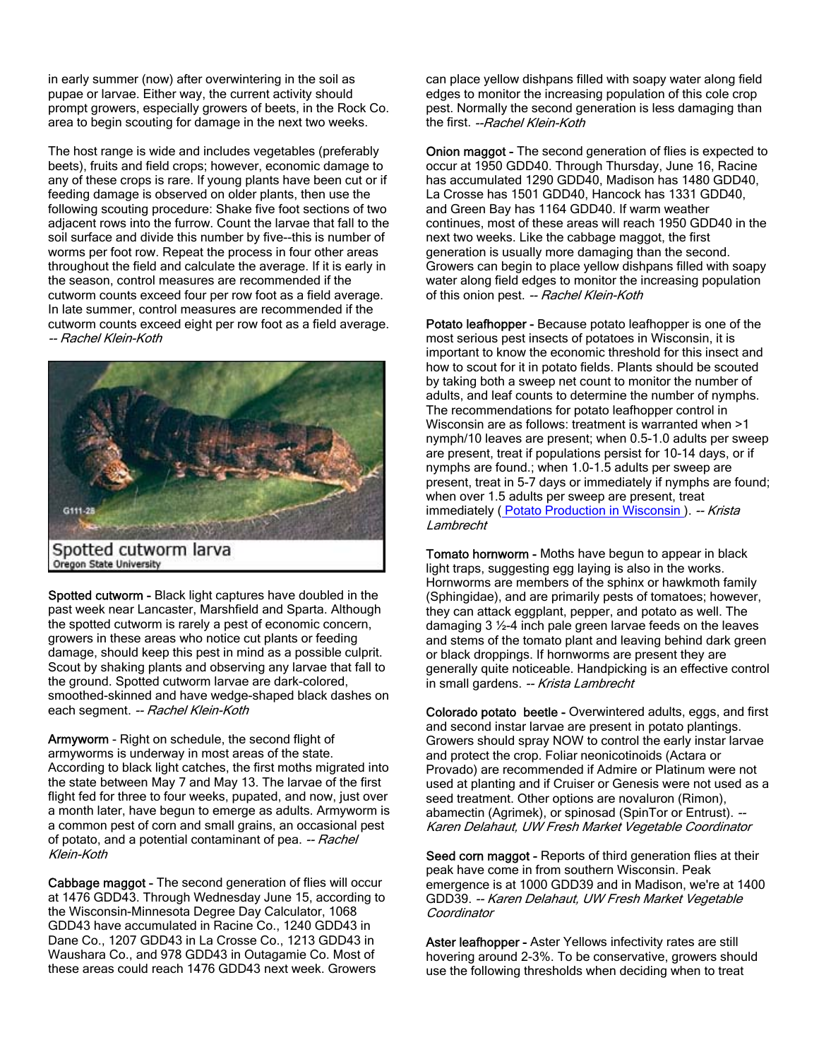in early summer (now) after overwintering in the soil as pupae or larvae. Either way, the current activity should prompt growers, especially growers of beets, in the Rock Co. area to begin scouting for damage in the next two weeks.

The host range is wide and includes vegetables (preferably beets), fruits and field crops; however, economic damage to any of these crops is rare. If young plants have been cut or if feeding damage is observed on older plants, then use the following scouting procedure: Shake five foot sections of two adjacent rows into the furrow. Count the larvae that fall to the soil surface and divide this number by five--this is number of worms per foot row. Repeat the process in four other areas throughout the field and calculate the average. If it is early in the season, control measures are recommended if the cutworm counts exceed four per row foot as a field average. In late summer, control measures are recommended if the cutworm counts exceed eight per row foot as a field average. -- Rachel Klein-Koth



Spotted cutworm - Black light captures have doubled in the past week near Lancaster, Marshfield and Sparta. Although the spotted cutworm is rarely a pest of economic concern, growers in these areas who notice cut plants or feeding damage, should keep this pest in mind as a possible culprit. Scout by shaking plants and observing any larvae that fall to the ground. Spotted cutworm larvae are dark-colored, smoothed-skinned and have wedge-shaped black dashes on each segment. -- Rachel Klein-Koth

Armyworm - Right on schedule, the second flight of armyworms is underway in most areas of the state. According to black light catches, the first moths migrated into the state between May 7 and May 13. The larvae of the first flight fed for three to four weeks, pupated, and now, just over a month later, have begun to emerge as adults. Armyworm is a common pest of corn and small grains, an occasional pest of potato, and a potential contaminant of pea. -- Rachel Klein-Koth

Cabbage maggot - The second generation of flies will occur at 1476 GDD43. Through Wednesday June 15, according to the Wisconsin-Minnesota Degree Day Calculator, 1068 GDD43 have accumulated in Racine Co., 1240 GDD43 in Dane Co., 1207 GDD43 in La Crosse Co., 1213 GDD43 in Waushara Co., and 978 GDD43 in Outagamie Co. Most of these areas could reach 1476 GDD43 next week. Growers

can place yellow dishpans filled with soapy water along field edges to monitor the increasing population of this cole crop pest. Normally the second generation is less damaging than the first. --Rachel Klein-Koth

Onion maggot - The second generation of flies is expected to occur at 1950 GDD40. Through Thursday, June 16, Racine has accumulated 1290 GDD40, Madison has 1480 GDD40, La Crosse has 1501 GDD40, Hancock has 1331 GDD40, and Green Bay has 1164 GDD40. If warm weather continues, most of these areas will reach 1950 GDD40 in the next two weeks. Like the cabbage maggot, the first generation is usually more damaging than the second. Growers can begin to place yellow dishpans filled with soapy water along field edges to monitor the increasing population of this onion pest. -- Rachel Klein-Koth

Potato leafhopper - Because potato leafhopper is one of the most serious pest insects of potatoes in Wisconsin, it is important to know the economic threshold for this insect and how to scout for it in potato fields. Plants should be scouted by taking both a sweep net count to monitor the number of adults, and leaf counts to determine the number of nymphs. The recommendations for potato leafhopper control in Wisconsin are as follows: treatment is warranted when >1 nymph/10 leaves are present; when 0.5-1.0 adults per sweep are present, treat if populations persist for 10-14 days, or if nymphs are found.; when 1.0-1.5 adults per sweep are present, treat in 5-7 days or immediately if nymphs are found; when over 1.5 adults per sweep are present, treat immediately ( Potato Production in Wisconsin ). -- Krista Lambrecht

Tomato hornworm - Moths have begun to appear in black light traps, suggesting egg laying is also in the works. Hornworms are members of the sphinx or hawkmoth family (Sphingidae), and are primarily pests of tomatoes; however, they can attack eggplant, pepper, and potato as well. The damaging 3 ½-4 inch pale green larvae feeds on the leaves and stems of the tomato plant and leaving behind dark green or black droppings. If hornworms are present they are generally quite noticeable. Handpicking is an effective control in small gardens. -- Krista Lambrecht

Colorado potato beetle - Overwintered adults, eggs, and first and second instar larvae are present in potato plantings. Growers should spray NOW to control the early instar larvae and protect the crop. Foliar neonicotinoids (Actara or Provado) are recommended if Admire or Platinum were not used at planting and if Cruiser or Genesis were not used as a seed treatment. Other options are novaluron (Rimon), abamectin (Agrimek), or spinosad (SpinTor or Entrust). -Karen Delahaut, UW Fresh Market Vegetable Coordinator

Seed corn maggot - Reports of third generation flies at their peak have come in from southern Wisconsin. Peak emergence is at 1000 GDD39 and in Madison, we're at 1400 GDD39. -- Karen Delahaut, UW Fresh Market Vegetable Coordinator

Aster leafhopper - Aster Yellows infectivity rates are still hovering around 2-3%. To be conservative, growers should use the following thresholds when deciding when to treat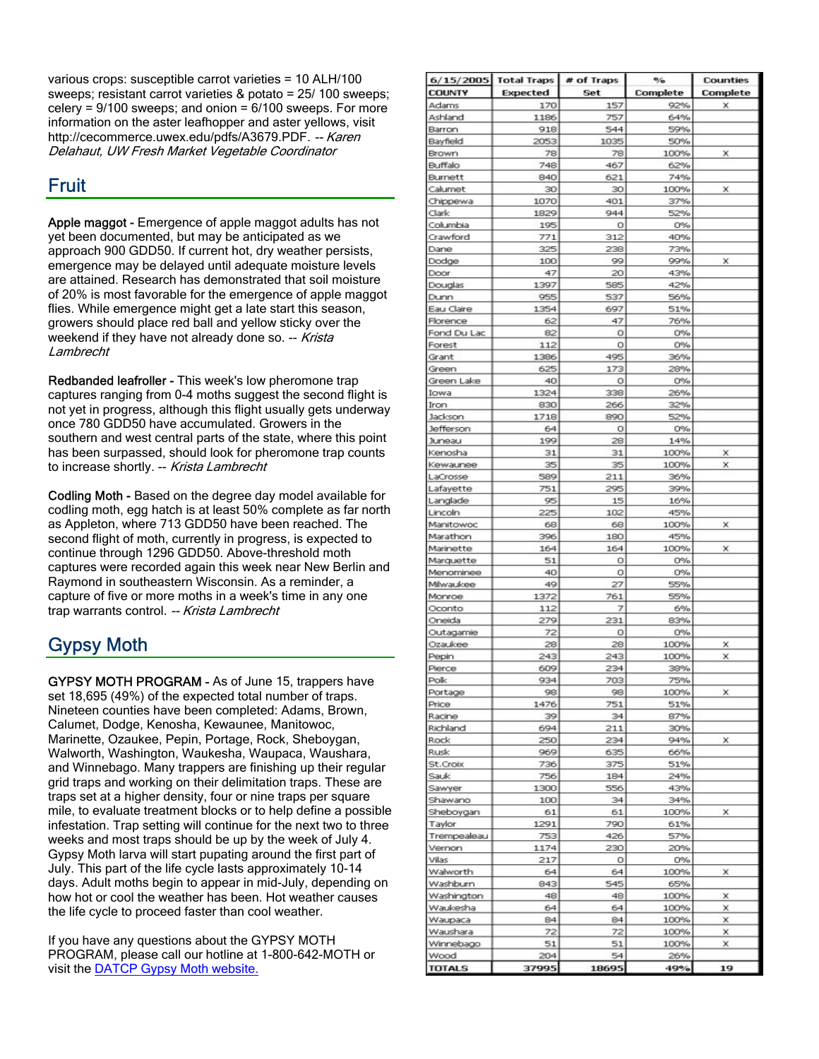various crops: susceptible carrot varieties = 10 ALH/100 sweeps; resistant carrot varieties & potato = 25/ 100 sweeps; celery =  $9/100$  sweeps; and onion =  $6/100$  sweeps. For more information on the aster leafhopper and aster yellows, visit http://cecommerce.uwex.edu/pdfs/A3679.PDF. -- Karen Delahaut, UW Fresh Market Vegetable Coordinator

## **Fruit**

Apple maggot - Emergence of apple maggot adults has not yet been documented, but may be anticipated as we approach 900 GDD50. If current hot, dry weather persists, emergence may be delayed until adequate moisture levels are attained. Research has demonstrated that soil moisture of 20% is most favorable for the emergence of apple maggot flies. While emergence might get a late start this season, growers should place red ball and yellow sticky over the weekend if they have not already done so. -- Krista **Lambrecht** 

Redbanded leafroller - This week's low pheromone trap captures ranging from 0-4 moths suggest the second flight is not yet in progress, although this flight usually gets underway once 780 GDD50 have accumulated. Growers in the southern and west central parts of the state, where this point has been surpassed, should look for pheromone trap counts to increase shortly. -- Krista Lambrecht

Codling Moth - Based on the degree day model available for codling moth, egg hatch is at least 50% complete as far north as Appleton, where 713 GDD50 have been reached. The second flight of moth, currently in progress, is expected to continue through 1296 GDD50. Above-threshold moth captures were recorded again this week near New Berlin and Raymond in southeastern Wisconsin. As a reminder, a capture of five or more moths in a week's time in any one trap warrants control. -- Krista Lambrecht

# Gypsy Moth

GYPSY MOTH PROGRAM - As of June 15, trappers have set 18,695 (49%) of the expected total number of traps. Nineteen counties have been completed: Adams, Brown, Calumet, Dodge, Kenosha, Kewaunee, Manitowoc, Marinette, Ozaukee, Pepin, Portage, Rock, Sheboygan, Walworth, Washington, Waukesha, Waupaca, Waushara, and Winnebago. Many trappers are finishing up their regular grid traps and working on their delimitation traps. These are traps set at a higher density, four or nine traps per square mile, to evaluate treatment blocks or to help define a possible infestation. Trap setting will continue for the next two to three weeks and most traps should be up by the week of July 4. Gypsy Moth larva will start pupating around the first part of July. This part of the life cycle lasts approximately 10-14 days. Adult moths begin to appear in mid-July, depending on how hot or cool the weather has been. Hot weather causes the life cycle to proceed faster than cool weather.

If you have any questions about the GYPSY MOTH PROGRAM, please call our hotline at 1-800-642-MOTH or visit the DATCP Gypsy Moth website.

|                        | 6/15/2005 Total Traps | # of Traps | $\%$        | <b>Counties</b> |
|------------------------|-----------------------|------------|-------------|-----------------|
| <b>COUNTY</b>          | <b>Expected</b>       | Set        | Complete    | Complete        |
| Adams                  | 170                   | 157        | 92%         | x               |
| Ashland                | 1186                  | 757        | 64%         |                 |
| Barron                 | 918                   | 544        | 59%         |                 |
| Bayfield               | 2053                  | 1035       | 50%         |                 |
| Brown<br>Buffalo       | 78<br>748             | 78<br>467  | 100%<br>62% | x               |
| Burnett                | 840                   | 621        | 74%         |                 |
| Calumet                | 30 <sub>1</sub>       | 30         | 100%        | х               |
| Chippewa               | 1070                  | 401        | 37%         |                 |
| Clark.                 | 1829                  | 944        | 52%         |                 |
| Columbia               | 195                   | O          | 0%          |                 |
| Crawford               | 771                   | 312        | 40%         |                 |
| Dane                   | 325                   | 238        | 73%         |                 |
| Dodge                  | 100                   | 99         | 99%         | х               |
| Door                   | 47                    | 20         | 43%         |                 |
| Douglas<br>Dunn        | 1397<br>955           | 585<br>537 | 42%<br>56%  |                 |
| Eau Claire             | 1354                  | 697        | 51%         |                 |
| Florence               | 62                    | 47         | 76%         |                 |
| Fond Du Lac            | 82                    | о          | 0%          |                 |
| Forest                 | 112                   | O          | 0%          |                 |
| Grant                  | 1386                  | 495        | 36%         |                 |
| Green                  | 625                   | 173        | 28%         |                 |
| Green Lake             | 40                    | ο          | 0%          |                 |
| Iowa                   | 1324                  | 338        | 26%         |                 |
| Iron.                  | 830<br>1718           | 266        | 32%         |                 |
| Jackson<br>Jefferson   | 64                    | 890<br>0   | 52%<br>0%   |                 |
| <b>Juneau</b>          | 199                   | 28         | 14%         |                 |
| Kenosha                | 31                    | 31         | 100%        | x               |
| Kewaunee               | 35                    | 35         | 100%        | ×               |
| LaCrosse               | 589                   | 211        | 36%         |                 |
| Lafayette              | 751                   | 295        | 39%         |                 |
| Langlade               | 95                    | 15         | 16%         |                 |
| Lincoln                | 225                   | 102        | 45%         |                 |
| Manitowoc              | 68                    | 68         | 100%        | х               |
| Marathon               | 396                   | 180        | 45%         |                 |
| Marinette<br>Marquette | 164<br>51             | 164<br>о   | 100%<br>0%  | x               |
| Menominee              | 40                    | о          | 0%          |                 |
| Milwaukee              | 49                    | 27         | 55%         |                 |
| Monroe                 | 1372                  | 761        | 55%         |                 |
| Oconto                 | 112                   | 7          | 6%          |                 |
| Oneida                 | 279                   | 231        | 83%         |                 |
| Outagamie              | 72                    | о          | 0%          |                 |
| Ozaukee                | 28                    | 28         | 100%        | ×               |
| Pepin                  | 243                   | 243<br>234 | 100%        | x               |
| Pierce<br>Polk         | 609<br>934            | 703        | 38%<br>75%  |                 |
| Portage                | 98                    | 98         | 100%        | ×               |
| Price                  | 1476                  | 751        | 51%         |                 |
| Racine                 | 39                    | 34         | 87%         |                 |
| Richland               | 694                   | 211        | 30%         |                 |
| Rock                   | 250                   | 234        | 94%         | x               |
| <b>Rusk</b>            | 969                   | 635        | 66%         |                 |
| St.Croix               | 736                   | 375        | 51%         |                 |
| Sauk                   | 756                   | 184        | 24%         |                 |
| Sawyer                 | 1300                  | 556        | 43%         |                 |
| Shawano<br>Sheboygan   | 100<br>61             | 34<br>61   | 34%<br>100% | x               |
| Taylor                 | 1291                  | 790        | 61%         |                 |
| Trempealeau            | 753                   | 426        | 57%         |                 |
| Vernon                 | 1174                  | 230        | 20%         |                 |
| Vilas                  | 217                   | o          | 0%          |                 |
| Walworth               | 64                    | 64         | 100%        | х               |
| Washburn               | 843                   | 545        | 65%         |                 |
| Washington             | 48                    | 48         | 100%        | x               |
| Waukesha               | 64                    | 64         | 100%        | x               |
| Waupaca                | 84                    | 84         | 100%        | x               |
| Waushara               | 72                    | 72         | 100%        | ×               |
| Winnebago<br>Wood      | 51<br>204             | 51<br>54   | 100%<br>26% | x               |
| <b>PLATOT</b>          | 37995                 | 18695      | 49%         | 19              |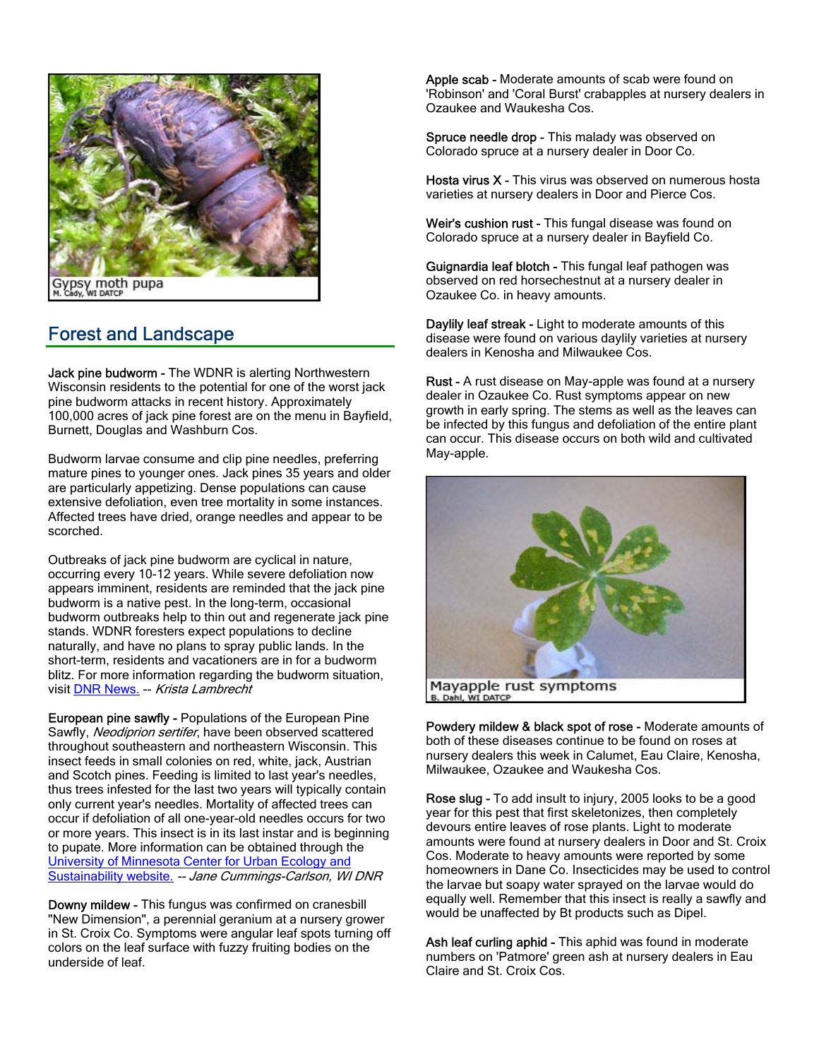

## Forest and Landscape

Jack pine budworm - The WDNR is alerting Northwestern Wisconsin residents to the potential for one of the worst jack pine budworm attacks in recent history. Approximately 100,000 acres of jack pine forest are on the menu in Bayfield, Burnett, Douglas and Washburn Cos.

Budworm larvae consume and clip pine needles, preferring mature pines to younger ones. Jack pines 35 years and older are particularly appetizing. Dense populations can cause extensive defoliation, even tree mortality in some instances. Affected trees have dried, orange needles and appear to be scorched.

Outbreaks of jack pine budworm are cyclical in nature, occurring every 10-12 years. While severe defoliation now appears imminent, residents are reminded that the jack pine budworm is a native pest. In the long-term, occasional budworm outbreaks help to thin out and regenerate jack pine stands. WDNR foresters expect populations to decline naturally, and have no plans to spray public lands. In the short-term, residents and vacationers are in for a budworm blitz. For more information regarding the budworm situation, visit DNR News. -- Krista Lambrecht

European pine sawfly - Populations of the European Pine Sawfly, Neodiprion sertifer, have been observed scattered throughout southeastern and northeastern Wisconsin. This insect feeds in small colonies on red, white, jack, Austrian and Scotch pines. Feeding is limited to last year's needles, thus trees infested for the last two years will typically contain only current year's needles. Mortality of affected trees can occur if defoliation of all one-year-old needles occurs for two or more years. This insect is in its last instar and is beginning to pupate. More information can be obtained through the University of Minnesota Center for Urban Ecology and Sustainability website. -- Jane Cummings-Carlson, WI DNR

Downy mildew - This fungus was confirmed on cranesbill "New Dimension", a perennial geranium at a nursery grower in St. Croix Co. Symptoms were angular leaf spots turning off colors on the leaf surface with fuzzy fruiting bodies on the underside of leaf.

Apple scab - Moderate amounts of scab were found on 'Robinson' and 'Coral Burst' crabapples at nursery dealers in Ozaukee and Waukesha Cos.

Spruce needle drop - This malady was observed on Colorado spruce at a nursery dealer in Door Co.

Hosta virus X - This virus was observed on numerous hosta varieties at nursery dealers in Door and Pierce Cos.

Weir's cushion rust - This fungal disease was found on Colorado spruce at a nursery dealer in Bayfield Co.

Guignardia leaf blotch - This fungal leaf pathogen was observed on red horsechestnut at a nursery dealer in Ozaukee Co. in heavy amounts.

Daylily leaf streak - Light to moderate amounts of this disease were found on various daylily varieties at nursery dealers in Kenosha and Milwaukee Cos.

Rust - A rust disease on May-apple was found at a nursery dealer in Ozaukee Co. Rust symptoms appear on new growth in early spring. The stems as well as the leaves can be infected by this fungus and defoliation of the entire plant can occur. This disease occurs on both wild and cultivated May-apple.



Powdery mildew & black spot of rose - Moderate amounts of both of these diseases continue to be found on roses at nursery dealers this week in Calumet, Eau Claire, Kenosha, Milwaukee, Ozaukee and Waukesha Cos.

Rose slug - To add insult to injury, 2005 looks to be a good year for this pest that first skeletonizes, then completely devours entire leaves of rose plants. Light to moderate amounts were found at nursery dealers in Door and St. Croix Cos. Moderate to heavy amounts were reported by some homeowners in Dane Co. Insecticides may be used to control the larvae but soapy water sprayed on the larvae would do equally well. Remember that this insect is really a sawfly and would be unaffected by Bt products such as Dipel.

Ash leaf curling aphid - This aphid was found in moderate numbers on 'Patmore' green ash at nursery dealers in Eau Claire and St. Croix Cos.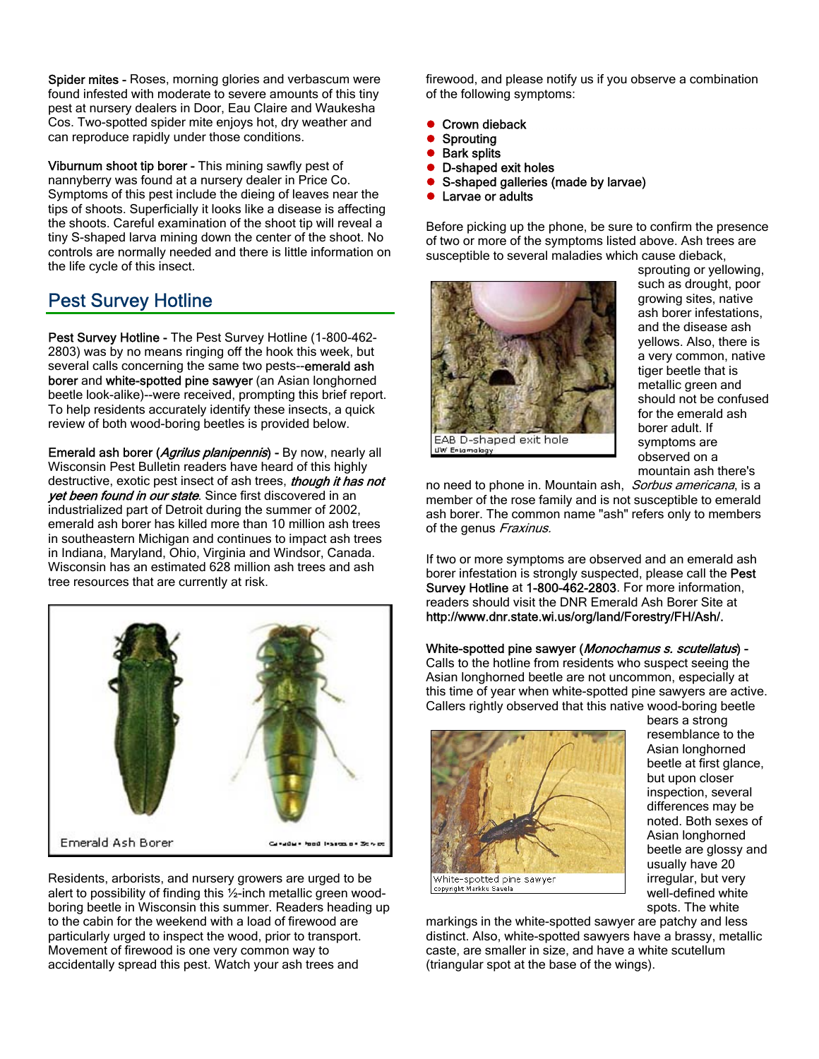Spider mites - Roses, morning glories and verbascum were found infested with moderate to severe amounts of this tiny pest at nursery dealers in Door, Eau Claire and Waukesha Cos. Two-spotted spider mite enjoys hot, dry weather and can reproduce rapidly under those conditions.

Viburnum shoot tip borer - This mining sawfly pest of nannyberry was found at a nursery dealer in Price Co. Symptoms of this pest include the dieing of leaves near the tips of shoots. Superficially it looks like a disease is affecting the shoots. Careful examination of the shoot tip will reveal a tiny S-shaped larva mining down the center of the shoot. No controls are normally needed and there is little information on the life cycle of this insect.

## Pest Survey Hotline

Pest Survey Hotline - The Pest Survey Hotline (1-800-462-2803) was by no means ringing off the hook this week, but several calls concerning the same two pests--emerald ash borer and white-spotted pine sawyer (an Asian longhorned beetle look-alike)--were received, prompting this brief report. To help residents accurately identify these insects, a quick review of both wood-boring beetles is provided below.

**Emerald ash borer (Agrilus planipennis)** - By now, nearly all Wisconsin Pest Bulletin readers have heard of this highly destructive, exotic pest insect of ash trees, *though it has not* yet been found in our state. Since first discovered in an industrialized part of Detroit during the summer of 2002, emerald ash borer has killed more than 10 million ash trees in southeastern Michigan and continues to impact ash trees in Indiana, Maryland, Ohio, Virginia and Windsor, Canada. Wisconsin has an estimated 628 million ash trees and ash tree resources that are currently at risk.



Residents, arborists, and nursery growers are urged to be alert to possibility of finding this ½-inch metallic green woodboring beetle in Wisconsin this summer. Readers heading up to the cabin for the weekend with a load of firewood are particularly urged to inspect the wood, prior to transport. Movement of firewood is one very common way to accidentally spread this pest. Watch your ash trees and

firewood, and please notify us if you observe a combination of the following symptoms:

- **Crown dieback**
- **Sprouting**
- **Bark splits**
- D-shaped exit holes
- S-shaped galleries (made by larvae)
- Larvae or adults

Before picking up the phone, be sure to confirm the presence of two or more of the symptoms listed above. Ash trees are susceptible to several maladies which cause dieback,



sprouting or yellowing, such as drought, poor growing sites, native ash borer infestations, and the disease ash yellows. Also, there is a very common, native tiger beetle that is metallic green and should not be confused for the emerald ash borer adult. If symptoms are observed on a mountain ash there's

no need to phone in. Mountain ash, Sorbus americana, is a member of the rose family and is not susceptible to emerald ash borer. The common name "ash" refers only to members of the genus Fraxinus.

If two or more symptoms are observed and an emerald ash borer infestation is strongly suspected, please call the Pest Survey Hotline at 1-800-462-2803. For more information, readers should visit the DNR Emerald Ash Borer Site at http://www.dnr.state.wi.us/org/land/Forestry/FH/Ash/.

### White-spotted pine sawyer (Monochamus s. scutellatus) -

Calls to the hotline from residents who suspect seeing the Asian longhorned beetle are not uncommon, especially at this time of year when white-spotted pine sawyers are active. Callers rightly observed that this native wood-boring beetle



bears a strong resemblance to the Asian longhorned beetle at first glance, but upon closer inspection, several differences may be noted. Both sexes of Asian longhorned beetle are glossy and usually have 20 irregular, but very well-defined white spots. The white

markings in the white-spotted sawyer are patchy and less distinct. Also, white-spotted sawyers have a brassy, metallic caste, are smaller in size, and have a white scutellum (triangular spot at the base of the wings).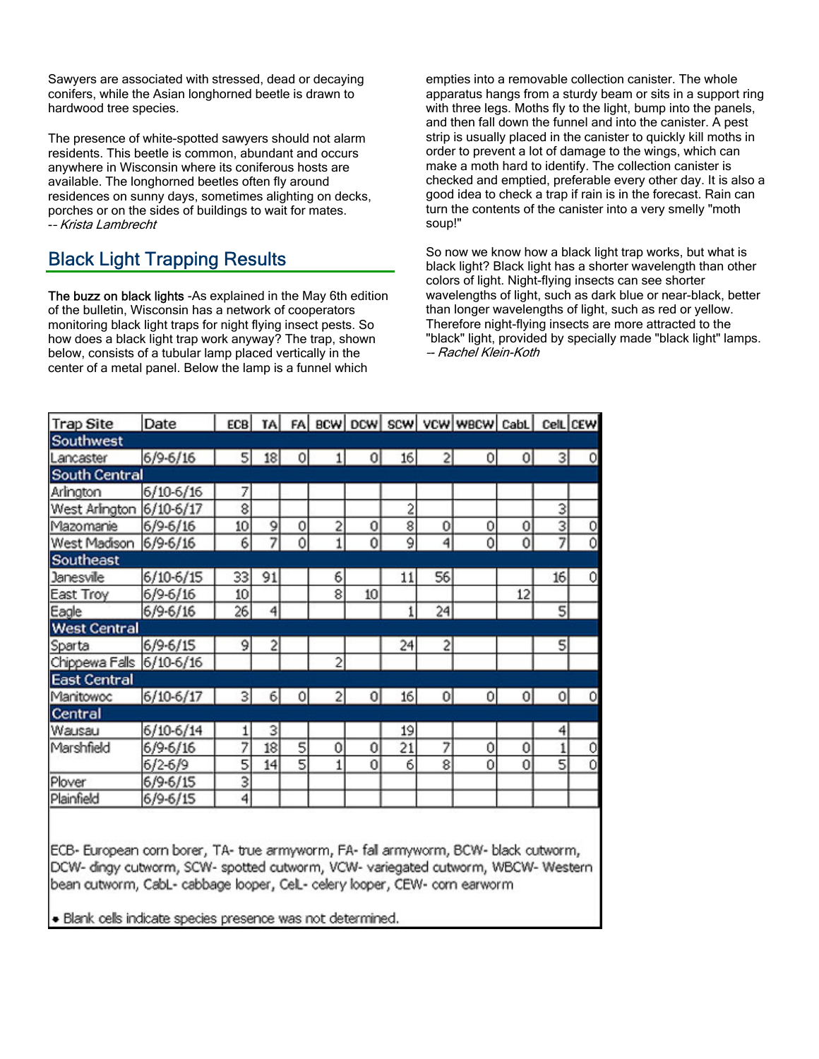Sawyers are associated with stressed, dead or decaying conifers, while the Asian longhorned beetle is drawn to hardwood tree species.

The presence of white-spotted sawyers should not alarm residents. This beetle is common, abundant and occurs anywhere in Wisconsin where its coniferous hosts are available. The longhorned beetles often fly around residences on sunny days, sometimes alighting on decks, porches or on the sides of buildings to wait for mates. -– Krista Lambrecht

## Black Light Trapping Results

The buzz on black lights -As explained in the May 6th edition of the bulletin, Wisconsin has a network of cooperators monitoring black light traps for night flying insect pests. So how does a black light trap work anyway? The trap, shown below, consists of a tubular lamp placed vertically in the center of a metal panel. Below the lamp is a funnel which

empties into a removable collection canister. The whole apparatus hangs from a sturdy beam or sits in a support ring with three legs. Moths fly to the light, bump into the panels, and then fall down the funnel and into the canister. A pest strip is usually placed in the canister to quickly kill moths in order to prevent a lot of damage to the wings, which can make a moth hard to identify. The collection canister is checked and emptied, preferable every other day. It is also a good idea to check a trap if rain is in the forecast. Rain can turn the contents of the canister into a very smelly "moth soup!"

So now we know how a black light trap works, but what is black light? Black light has a shorter wavelength than other colors of light. Night-flying insects can see shorter wavelengths of light, such as dark blue or near-black, better than longer wavelengths of light, such as red or yellow. Therefore night-flying insects are more attracted to the "black" light, provided by specially made "black light" lamps. –- Rachel Klein-Koth

| <b>Trap Site</b>    | Date          | ECB          |    |         |                |    |    |                | TA FA BCW DCW SCW VCW WBCW CabL CelL CEW |                |                |         |
|---------------------|---------------|--------------|----|---------|----------------|----|----|----------------|------------------------------------------|----------------|----------------|---------|
| Southwest           |               |              |    |         |                |    |    |                |                                          |                |                |         |
| Lancaster           | 6/9-6/16      | $\mathsf{S}$ | 18 | $\circ$ |                | 0  | 16 | $\overline{c}$ | $\circ$                                  | 01             | 31             | $\circ$ |
| South Central       |               |              |    |         |                |    |    |                |                                          |                |                |         |
| Arlington           | $6/10 - 6/16$ | 7            |    |         |                |    |    |                |                                          |                |                |         |
| West Arlington      | $6/10-6/17$   | 8            |    |         |                |    | 2  |                |                                          |                | 3              |         |
| Mazomanie           | 6/9-6/16      | 10           | 9  | 0       | 2              | 0  | 8  | 0              | 0                                        | 0              | 3              | o       |
| West Madison        | $6/9 - 6/16$  | 6            | 7  | 0       | 1              | 0  | 9  | 4              | 0                                        | 0              | 7              | Ō       |
| Southeast           |               |              |    |         |                |    |    |                |                                          |                |                |         |
| <b>Janesvile</b>    | 6/10-6/15     | 33           | 91 |         | 6              |    | 11 | 56             |                                          |                | 16             | o       |
| East Troy           | $6/9 - 6/16$  | 10           |    |         | 8              | 10 |    |                |                                          | 12             |                |         |
| Eagle               | $6/9 - 6/16$  | 26           | 4  |         |                |    |    | 24             |                                          |                | 5              |         |
| <b>West Central</b> |               |              |    |         |                |    |    |                |                                          |                |                |         |
| Sparta              | 6/9.6/15      | 9            | 2  |         |                |    | 24 | 2              |                                          |                | $\overline{5}$ |         |
| Chippewa Falls      | $6/10-6/16$   |              |    |         | $\overline{c}$ |    |    |                |                                          |                |                |         |
| <b>East Central</b> |               |              |    |         |                |    |    |                |                                          |                |                |         |
| Manitowoc           | 6/10-6/17     | 3            | 6  | 0       | 2              | 0  | 16 | $\mathbf{0}$   | 0                                        | $\overline{0}$ | 0              | O       |
| Central             |               |              |    |         |                |    |    |                |                                          |                |                |         |
| Wausau              | $6/10 - 6/14$ | 1            | 3  |         |                |    | 19 |                |                                          |                | 4              |         |
| Marshfield          | 6/9.6/16      | 7            | 18 | 5       | 0              | 0  | 21 | 7              | 0                                        | 0              | 1              | 0       |
|                     | $6/2 - 6/9$   | 5            | 14 | 5       |                | 0  | 6  | 8              | 0                                        | 0              | 5              | o       |
| Plover              | 6/9-6/15      | 3            |    |         |                |    |    |                |                                          |                |                |         |
| Plainfield          | $6/9 - 6/15$  | 4            |    |         |                |    |    |                |                                          |                |                |         |

IECB- European corn borer, TA- true armyworm, FA- fall armyworm, BCW- black cutworm, DCW- dingy cutworm, SCW- spotted cutworm, VCW- variegated cutworm, WBCW- Western bean cutworm, CabL- cabbage looper, CelL- celery looper, CEW- corn earworm

· Blank cells indicate species presence was not determined.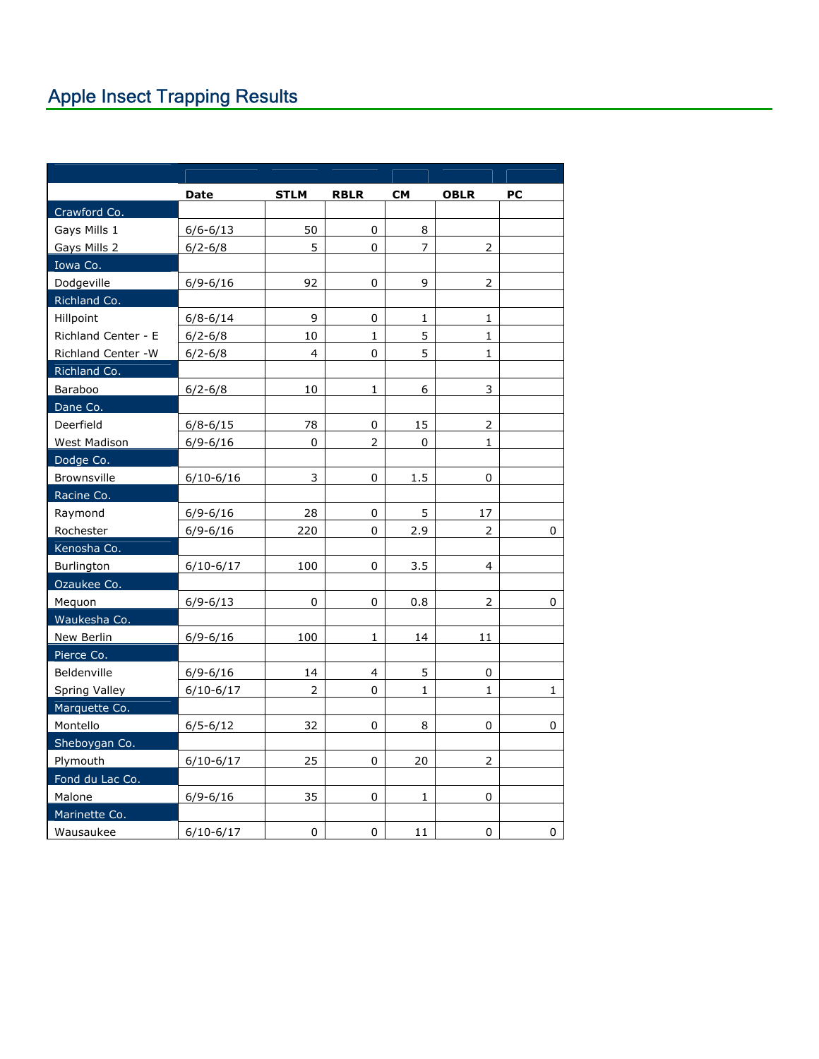|                     | <b>Date</b>   | <b>STLM</b>    | <b>RBLR</b>    | <b>CM</b>      | <b>OBLR</b>    | PС           |
|---------------------|---------------|----------------|----------------|----------------|----------------|--------------|
| Crawford Co.        |               |                |                |                |                |              |
| Gays Mills 1        | $6/6 - 6/13$  | 50             | 0              | 8              |                |              |
| Gays Mills 2        | $6/2 - 6/8$   | 5              | $\Omega$       | $\overline{7}$ | $\overline{2}$ |              |
| Iowa Co.            |               |                |                |                |                |              |
| Dodgeville          | $6/9 - 6/16$  | 92             | 0              | 9              | $\overline{2}$ |              |
| Richland Co.        |               |                |                |                |                |              |
| Hillpoint           | $6/8 - 6/14$  | 9              | 0              | $\mathbf 1$    | 1              |              |
| Richland Center - E | $6/2 - 6/8$   | 10             | $\mathbf{1}$   | 5              | $\mathbf{1}$   |              |
| Richland Center -W  | $6/2 - 6/8$   | 4              | 0              | 5              | 1              |              |
| Richland Co.        |               |                |                |                |                |              |
| Baraboo             | $6/2 - 6/8$   | 10             | $\mathbf{1}$   | 6              | 3              |              |
| Dane Co.            |               |                |                |                |                |              |
| Deerfield           | $6/8 - 6/15$  | 78             | 0              | 15             |                |              |
| West Madison        | $6/9 - 6/16$  | 0              | $\overline{2}$ | 0              | $\mathbf 1$    |              |
| Dodge Co.           |               |                |                |                |                |              |
| Brownsville         | $6/10 - 6/16$ | 3              | 0              | 1.5            | 0              |              |
| Racine Co.          |               |                |                |                |                |              |
| Raymond             | $6/9 - 6/16$  | 28             | 0              | 5              | 17             |              |
| Rochester           | $6/9 - 6/16$  | 220            | 0              | 2.9            | $\overline{2}$ | 0            |
| Kenosha Co.         |               |                |                |                |                |              |
| Burlington          | $6/10 - 6/17$ | 100            | 0              | 3.5            | 4              |              |
| Ozaukee Co.         |               |                |                |                |                |              |
| Mequon              | $6/9 - 6/13$  | 0              | 0              | 0.8            | 2              | 0            |
| Waukesha Co.        |               |                |                |                |                |              |
| New Berlin          | $6/9 - 6/16$  | 100            | 1              | 14             | 11             |              |
| Pierce Co.          |               |                |                |                |                |              |
| Beldenville         | $6/9 - 6/16$  | 14             | $\overline{4}$ | 5              | 0              |              |
| Spring Valley       | $6/10-6/17$   | $\overline{2}$ | 0              | $\mathbf{1}$   | $\mathbf{1}$   | $\mathbf{1}$ |
| Marquette Co.       |               |                |                |                |                |              |
| Montello            | $6/5 - 6/12$  | 32             | 0              | 8              | 0              | 0            |
| Sheboygan Co.       |               |                |                |                |                |              |
| Plymouth            | $6/10 - 6/17$ | 25             | $\Omega$       | 20             | 2              |              |
| Fond du Lac Co.     |               |                |                |                |                |              |
| Malone              | $6/9 - 6/16$  | 35             | 0              | 1              | 0              |              |
| Marinette Co.       |               |                |                |                |                |              |
| Wausaukee           | $6/10 - 6/17$ | 0              | 0              | 11             | 0              | 0            |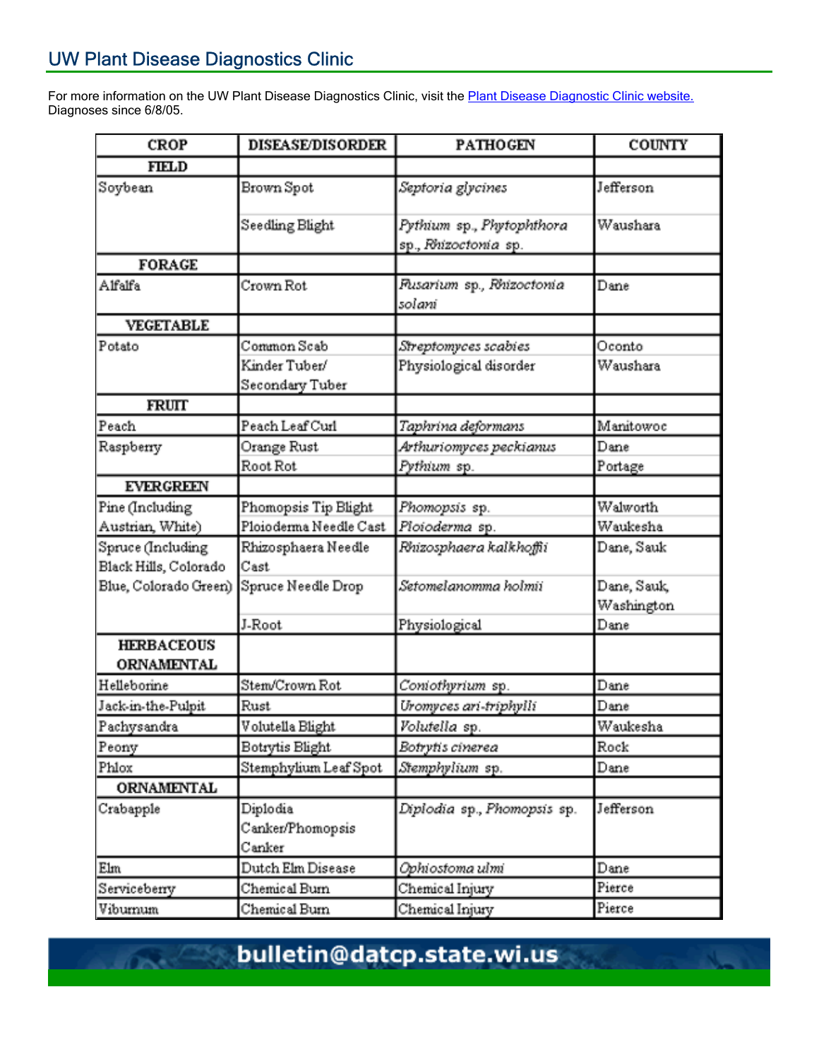For more information on the UW Plant Disease Diagnostics Clinic, visit the **Plant Disease Diagnostic Clinic website.** Diagnoses since 6/8/05.

| <b>CROP</b>                                | <b>DISEASE/DISORDER</b>                         | <b>PATHOGEN</b>                                   | <b>COUNTY</b>             |  |  |
|--------------------------------------------|-------------------------------------------------|---------------------------------------------------|---------------------------|--|--|
| <b>FIELD</b>                               |                                                 |                                                   |                           |  |  |
| Soybean                                    | Brown Spot                                      | Septoria glycines                                 | Jefferson                 |  |  |
|                                            | Seedling Blight                                 | Pythium sp., Phytophthora<br>sp., Rhizoctonia sp. | Waushara                  |  |  |
| <b>FORAGE</b>                              |                                                 |                                                   |                           |  |  |
| Alfalfa                                    | Crown Rot                                       | Flusarium sp., Rhizoctonia<br>solani              | Dane                      |  |  |
| <b>VEGETABLE</b>                           |                                                 |                                                   |                           |  |  |
| Potato                                     | Common Scab<br>Kinder Tuber/<br>Secondary Tuber | Streptomyces scabies<br>Physiological disorder    | Oconto<br>Waushara        |  |  |
| <b>FRUIT</b>                               |                                                 |                                                   |                           |  |  |
| Peach                                      | Peach Leaf Curl                                 | Taphrina deformans                                | Manitowoc                 |  |  |
| Raspberry                                  | Orange Rust<br>Root Rot                         | Arthuriomyces peckianus<br>Pythium sp.            | Dane<br>Portage           |  |  |
| <b>EVERGREEN</b>                           |                                                 |                                                   |                           |  |  |
| Pine (Including<br>Austrian, White)        | Phomopsis Tip Blight<br>Ploioderma Needle Cast  | Phomopsis sp.<br>Ploioderma sp.                   | Walworth<br>Waukesha      |  |  |
| Spruce (Including<br>Black Hills, Colorado | Rhizosphaera Needle<br>Cast                     | Rhizosphaera kalkhoffii                           | Dane, Sauk                |  |  |
| Blue, Colorado Green)                      | Spruce Needle Drop                              | Setomelanomma holmii                              | Dane, Sauk,<br>Washington |  |  |
|                                            | J-Root                                          | Physiological                                     | Dane                      |  |  |
| <b>HERBACEOUS</b><br><b>ORNAMENTAL</b>     |                                                 |                                                   |                           |  |  |
| Helleborine                                | Stem/Crown Rot                                  | Coniothyrium sp.                                  | Dane                      |  |  |
| Jack-in-the-Pulpit                         | Rust                                            | Uromyces ari-triphylli                            | Dane                      |  |  |
| Pachysandra                                | Volutella Blight                                | Volutella sp.                                     | Waukesha                  |  |  |
| Peony                                      | Botrytis Blight                                 | Botrytis cinerea                                  | Rock                      |  |  |
| Phlox                                      | Stemphylium Leaf Spot                           | Stemphylium sp.                                   | Dane                      |  |  |
| <b>ORNAMENTAL</b>                          |                                                 |                                                   |                           |  |  |
| Crabapple                                  | Diplodia<br>Canker/Phomopsis<br>Canker          | Diplodia sp., Phomopsis sp.                       | Jefferson                 |  |  |
| Elm                                        | Dutch Elm Disease                               | Ophiostoma ulmi                                   | Dane                      |  |  |
| Serviceberry                               | Chemical Burn                                   | Chemical Injury                                   | Pierce                    |  |  |
| Viburnum                                   | Chemical Burn                                   | Chemical Injury                                   | Pierce                    |  |  |

bulletin@datcp.state.wi.us